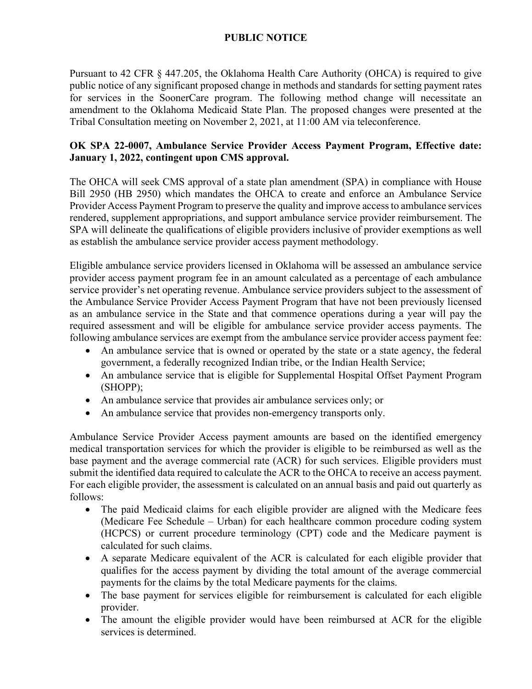Pursuant to 42 CFR § 447.205, the Oklahoma Health Care Authority (OHCA) is required to give public notice of any significant proposed change in methods and standards for setting payment rates for services in the SoonerCare program. The following method change will necessitate an amendment to the Oklahoma Medicaid State Plan. The proposed changes were presented at the Tribal Consultation meeting on November 2, 2021, at 11:00 AM via teleconference.

## **OK SPA 22-0007, Ambulance Service Provider Access Payment Program, Effective date: January 1, 2022, contingent upon CMS approval.**

The OHCA will seek CMS approval of a state plan amendment (SPA) in compliance with House Bill 2950 (HB 2950) which mandates the OHCA to create and enforce an Ambulance Service Provider Access Payment Program to preserve the quality and improve access to ambulance services rendered, supplement appropriations, and support ambulance service provider reimbursement. The SPA will delineate the qualifications of eligible providers inclusive of provider exemptions as well as establish the ambulance service provider access payment methodology.

Eligible ambulance service providers licensed in Oklahoma will be assessed an ambulance service provider access payment program fee in an amount calculated as a percentage of each ambulance service provider's net operating revenue. Ambulance service providers subject to the assessment of the Ambulance Service Provider Access Payment Program that have not been previously licensed as an ambulance service in the State and that commence operations during a year will pay the required assessment and will be eligible for ambulance service provider access payments. The following ambulance services are exempt from the ambulance service provider access payment fee:

- An ambulance service that is owned or operated by the state or a state agency, the federal government, a federally recognized Indian tribe, or the Indian Health Service;
- An ambulance service that is eligible for Supplemental Hospital Offset Payment Program (SHOPP);
- An ambulance service that provides air ambulance services only; or
- An ambulance service that provides non-emergency transports only.

Ambulance Service Provider Access payment amounts are based on the identified emergency medical transportation services for which the provider is eligible to be reimbursed as well as the base payment and the average commercial rate (ACR) for such services. Eligible providers must submit the identified data required to calculate the ACR to the OHCA to receive an access payment. For each eligible provider, the assessment is calculated on an annual basis and paid out quarterly as follows:

- The paid Medicaid claims for each eligible provider are aligned with the Medicare fees (Medicare Fee Schedule – Urban) for each healthcare common procedure coding system (HCPCS) or current procedure terminology (CPT) code and the Medicare payment is calculated for such claims.
- A separate Medicare equivalent of the ACR is calculated for each eligible provider that qualifies for the access payment by dividing the total amount of the average commercial payments for the claims by the total Medicare payments for the claims.
- The base payment for services eligible for reimbursement is calculated for each eligible provider.
- The amount the eligible provider would have been reimbursed at ACR for the eligible services is determined.